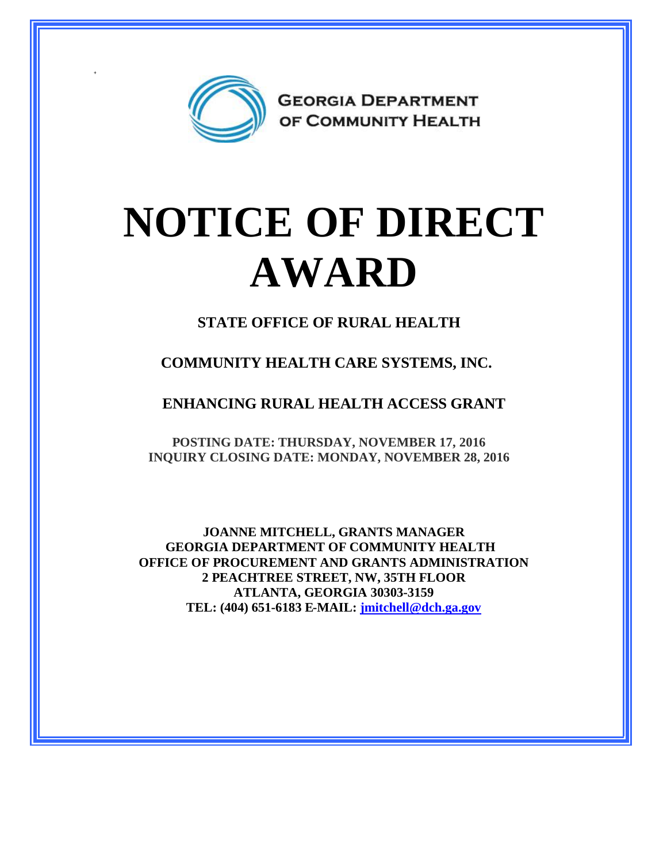

+

## **NOTICE OF DIRECT AWARD**

**STATE OFFICE OF RURAL HEALTH**

**COMMUNITY HEALTH CARE SYSTEMS, INC.**

**ENHANCING RURAL HEALTH ACCESS GRANT**

**POSTING DATE: THURSDAY, NOVEMBER 17, 2016 INQUIRY CLOSING DATE: MONDAY, NOVEMBER 28, 2016**

**JOANNE MITCHELL, GRANTS MANAGER GEORGIA DEPARTMENT OF COMMUNITY HEALTH OFFICE OF PROCUREMENT AND GRANTS ADMINISTRATION 2 PEACHTREE STREET, NW, 35TH FLOOR ATLANTA, GEORGIA 30303-3159 TEL: (404) 651-6183 E-MAIL: [jmitchell@dch.ga.gov](mailto:jmitchell@dch.ga.gov)**